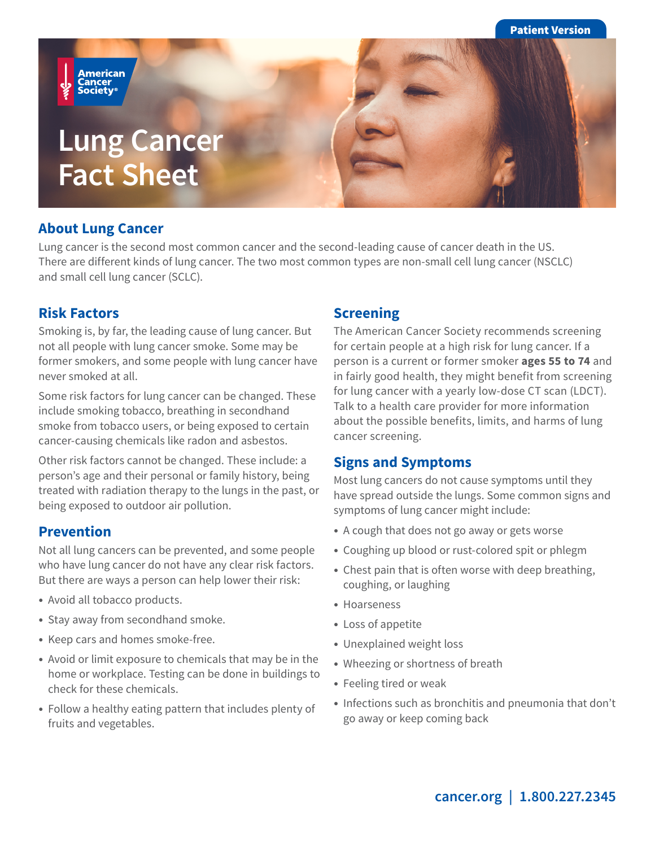Patient Version

**American** ..........<br>Cancer<br>Society®

# **Lung Cancer Fact Sheet**

#### **About Lung Cancer**

Lung cancer is the second most common cancer and the second-leading cause of cancer death in the US. There are different kinds of lung cancer. The two most common types are non-small cell lung cancer (NSCLC) and small cell lung cancer (SCLC).

#### **Risk Factors**

Smoking is, by far, the leading cause of lung cancer. But not all people with lung cancer smoke. Some may be former smokers, and some people with lung cancer have never smoked at all.

Some risk factors for lung cancer can be changed. These include smoking tobacco, breathing in secondhand smoke from tobacco users, or being exposed to certain cancer-causing chemicals like radon and asbestos.

Other risk factors cannot be changed. These include: a person's age and their personal or family history, being treated with radiation therapy to the lungs in the past, or being exposed to outdoor air pollution.

#### **Prevention**

Not all lung cancers can be prevented, and some people who have lung cancer do not have any clear risk factors. But there are ways a person can help lower their risk:

- Avoid all tobacco products.
- Stay away from secondhand smoke.
- Keep cars and homes smoke-free.
- Avoid or limit exposure to chemicals that may be in the home or workplace. Testing can be done in buildings to check for these chemicals.
- Follow a healthy eating pattern that includes plenty of fruits and vegetables.

#### **Screening**

The American Cancer Society recommends screening for certain people at a high risk for lung cancer. If a person is a current or former smoker **ages 55 to 74** and in fairly good health, they might benefit from screening for lung cancer with a yearly low-dose CT scan (LDCT). Talk to a health care provider for more information about the possible benefits, limits, and harms of lung cancer screening.

#### **Signs and Symptoms**

Most lung cancers do not cause symptoms until they have spread outside the lungs. Some common signs and symptoms of lung cancer might include:

- A cough that does not go away or gets worse
- Coughing up blood or rust-colored spit or phlegm
- Chest pain that is often worse with deep breathing, coughing, or laughing
- Hoarseness
- Loss of appetite
- Unexplained weight loss
- Wheezing or shortness of breath
- Feeling tired or weak
- Infections such as bronchitis and pneumonia that don't go away or keep coming back